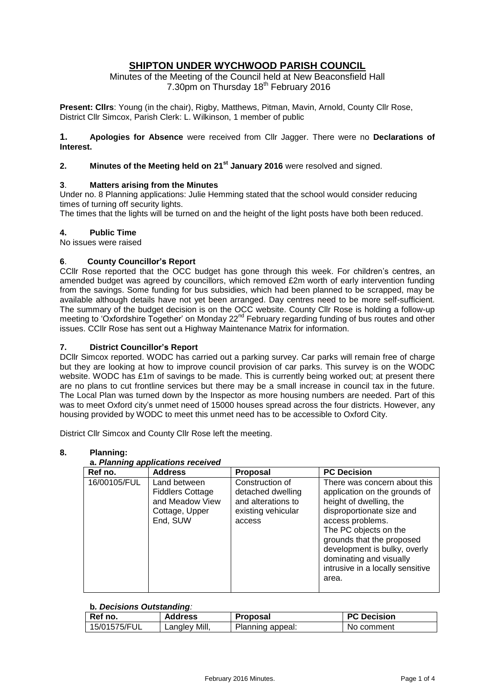# **SHIPTON UNDER WYCHWOOD PARISH COUNCIL**

Minutes of the Meeting of the Council held at New Beaconsfield Hall 7.30pm on Thursday 18<sup>th</sup> February 2016

**Present: Cllrs**: Young (in the chair), Rigby, Matthews, Pitman, Mavin, Arnold, County Cllr Rose, District Cllr Simcox, Parish Clerk: L. Wilkinson, 1 member of public

**1. Apologies for Absence** were received from Cllr Jagger. There were no **Declarations of Interest.**

# **2. Minutes of the Meeting held on 21st January 2016** were resolved and signed.

## **3**. **Matters arising from the Minutes**

Under no. 8 Planning applications: Julie Hemming stated that the school would consider reducing times of turning off security lights.

The times that the lights will be turned on and the height of the light posts have both been reduced.

#### **4. Public Time**

No issues were raised

#### **6**. **County Councillor's Report**

CCllr Rose reported that the OCC budget has gone through this week. For children's centres, an amended budget was agreed by councillors, which removed £2m worth of early intervention funding from the savings. Some funding for bus subsidies, which had been planned to be scrapped, may be available although details have not yet been arranged. Day centres need to be more self-sufficient. The summary of the budget decision is on the OCC website. County Cllr Rose is holding a follow-up meeting to 'Oxfordshire Together' on Monday 22<sup>nd</sup> February regarding funding of bus routes and other issues. CCllr Rose has sent out a Highway Maintenance Matrix for information.

#### **7. District Councillor's Report**

DCllr Simcox reported. WODC has carried out a parking survey. Car parks will remain free of charge but they are looking at how to improve council provision of car parks. This survey is on the WODC website. WODC has £1m of savings to be made. This is currently being worked out; at present there are no plans to cut frontline services but there may be a small increase in council tax in the future. The Local Plan was turned down by the Inspector as more housing numbers are needed. Part of this was to meet Oxford city's unmet need of 15000 houses spread across the four districts. However, any housing provided by WODC to meet this unmet need has to be accessible to Oxford City.

District Cllr Simcox and County Cllr Rose left the meeting.

#### **8. Planning:**

## **a.** *Planning applications received*

| Ref no.      | <b>Address</b>                                                                           | Proposal                                                                                   | <b>PC Decision</b>                                                                                                                                                                                                                                                                                      |
|--------------|------------------------------------------------------------------------------------------|--------------------------------------------------------------------------------------------|---------------------------------------------------------------------------------------------------------------------------------------------------------------------------------------------------------------------------------------------------------------------------------------------------------|
| 16/00105/FUL | Land between<br><b>Fiddlers Cottage</b><br>and Meadow View<br>Cottage, Upper<br>End, SUW | Construction of<br>detached dwelling<br>and alterations to<br>existing vehicular<br>access | There was concern about this<br>application on the grounds of<br>height of dwelling, the<br>disproportionate size and<br>access problems.<br>The PC objects on the<br>grounds that the proposed<br>development is bulky, overly<br>dominating and visually<br>intrusive in a locally sensitive<br>area. |

## **b***. Decisions Outstanding:*

| Ref no.      | Address           | Proposal         | <b>PC Decision</b> |
|--------------|-------------------|------------------|--------------------|
| 15/01575/FUL | Mill,<br>Langley' | Planning appeal: | No comment         |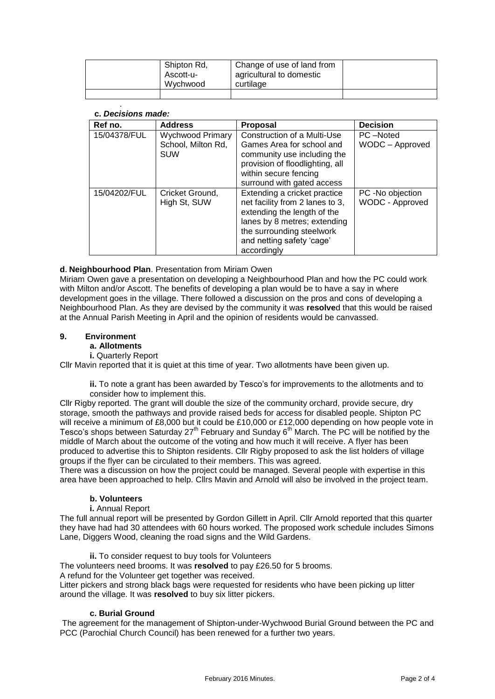|  | Shipton Rd,<br>Ascott-u-<br>Wychwood | Change of use of land from<br>agricultural to domestic<br>curtilage |  |
|--|--------------------------------------|---------------------------------------------------------------------|--|
|  |                                      |                                                                     |  |

#### . **c.** *Decisions made:*

| Ref no.      | <b>Address</b>                                              | <b>Proposal</b>                                                                                                                                                                                         | <b>Decision</b>                            |
|--------------|-------------------------------------------------------------|---------------------------------------------------------------------------------------------------------------------------------------------------------------------------------------------------------|--------------------------------------------|
| 15/04378/FUL | <b>Wychwood Primary</b><br>School, Milton Rd,<br><b>SUW</b> | Construction of a Multi-Use<br>Games Area for school and<br>community use including the<br>provision of floodlighting, all<br>within secure fencing<br>surround with gated access                       | PC-Noted<br>WODC - Approved                |
| 15/04202/FUL | Cricket Ground,<br>High St, SUW                             | Extending a cricket practice<br>net facility from 2 lanes to 3,<br>extending the length of the<br>lanes by 8 metres; extending<br>the surrounding steelwork<br>and netting safety 'cage'<br>accordingly | PC -No objection<br><b>WODC - Approved</b> |

## **d**. **Neighbourhood Plan**. Presentation from Miriam Owen

Miriam Owen gave a presentation on developing a Neighbourhood Plan and how the PC could work with Milton and/or Ascott. The benefits of developing a plan would be to have a say in where development goes in the village. There followed a discussion on the pros and cons of developing a Neighbourhood Plan. As they are devised by the community it was **resolve**d that this would be raised at the Annual Parish Meeting in April and the opinion of residents would be canvassed.

## **9. Environment**

- **a. Allotments**
	- **i.** Quarterly Report

Cllr Mavin reported that it is quiet at this time of year. Two allotments have been given up.

**ii.** To note a grant has been awarded by Tesco's for improvements to the allotments and to consider how to implement this.

Cllr Rigby reported. The grant will double the size of the community orchard, provide secure, dry storage, smooth the pathways and provide raised beds for access for disabled people. Shipton PC will receive a minimum of £8,000 but it could be £10,000 or £12,000 depending on how people vote in Tesco's shops between Saturday  $27<sup>th</sup>$  February and Sunday 6<sup>th</sup> March. The PC will be notified by the middle of March about the outcome of the voting and how much it will receive. A flyer has been produced to advertise this to Shipton residents. Cllr Rigby proposed to ask the list holders of village groups if the flyer can be circulated to their members. This was agreed.

There was a discussion on how the project could be managed. Several people with expertise in this area have been approached to help. Cllrs Mavin and Arnold will also be involved in the project team.

## **b. Volunteers**

## **i.** Annual Report

The full annual report will be presented by Gordon Gillett in April. Cllr Arnold reported that this quarter they have had had 30 attendees with 60 hours worked. The proposed work schedule includes Simons Lane, Diggers Wood, cleaning the road signs and the Wild Gardens.

**ii.** To consider request to buy tools for Volunteers

The volunteers need brooms. It was **resolved** to pay £26.50 for 5 brooms.

A refund for the Volunteer get together was received.

Litter pickers and strong black bags were requested for residents who have been picking up litter around the village. It was **resolved** to buy six litter pickers.

## **c. Burial Ground**

The agreement for the management of Shipton-under-Wychwood Burial Ground between the PC and PCC (Parochial Church Council) has been renewed for a further two years.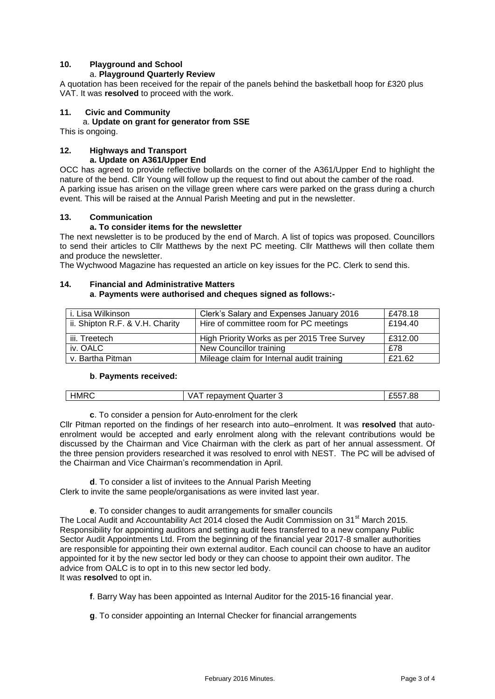# **10. Playground and School**

#### a. **Playground Quarterly Review**

A quotation has been received for the repair of the panels behind the basketball hoop for £320 plus VAT. It was **resolved** to proceed with the work.

#### **11. Civic and Community**

#### a. **Update on grant for generator from SSE**

This is ongoing.

#### **12. Highways and Transport a. Update on A361/Upper End**

OCC has agreed to provide reflective bollards on the corner of the A361/Upper End to highlight the nature of the bend. Cllr Young will follow up the request to find out about the camber of the road. A parking issue has arisen on the village green where cars were parked on the grass during a church event. This will be raised at the Annual Parish Meeting and put in the newsletter.

## **13. Communication**

#### **a. To consider items for the newsletter**

The next newsletter is to be produced by the end of March. A list of topics was proposed. Councillors to send their articles to Cllr Matthews by the next PC meeting. Cllr Matthews will then collate them and produce the newsletter.

The Wychwood Magazine has requested an article on key issues for the PC. Clerk to send this.

#### **14. Financial and Administrative Matters**

#### **a**. **Payments were authorised and cheques signed as follows:-**

| i. Lisa Wilkinson               | Clerk's Salary and Expenses January 2016    | £478.18 |
|---------------------------------|---------------------------------------------|---------|
| ii. Shipton R.F. & V.H. Charity | Hire of committee room for PC meetings      | £194.40 |
| iii. Treetech                   | High Priority Works as per 2015 Tree Survey | £312.00 |
| iv. OALC                        | New Councillor training                     | £78     |
| v. Bartha Pitman                | Mileage claim for Internal audit training   | £21.62  |

#### **b**. **Payments received:**

| <b>HMRC</b><br>£557.88<br>$^{\prime}$<br>Quarter<br>repayment |
|---------------------------------------------------------------|
|---------------------------------------------------------------|

**c**. To consider a pension for Auto-enrolment for the clerk

Cllr Pitman reported on the findings of her research into auto–enrolment. It was **resolved** that autoenrolment would be accepted and early enrolment along with the relevant contributions would be discussed by the Chairman and Vice Chairman with the clerk as part of her annual assessment. Of the three pension providers researched it was resolved to enrol with NEST. The PC will be advised of the Chairman and Vice Chairman's recommendation in April.

**d**. To consider a list of invitees to the Annual Parish Meeting Clerk to invite the same people/organisations as were invited last year.

**e**. To consider changes to audit arrangements for smaller councils

The Local Audit and Accountability Act 2014 closed the Audit Commission on 31<sup>st</sup> March 2015. Responsibility for appointing auditors and setting audit fees transferred to a new company Public Sector Audit Appointments Ltd. From the beginning of the financial year 2017-8 smaller authorities are responsible for appointing their own external auditor. Each council can choose to have an auditor appointed for it by the new sector led body or they can choose to appoint their own auditor. The advice from OALC is to opt in to this new sector led body. It was **resolve**d to opt in.

**f**. Barry Way has been appointed as Internal Auditor for the 2015-16 financial year.

**g**. To consider appointing an Internal Checker for financial arrangements